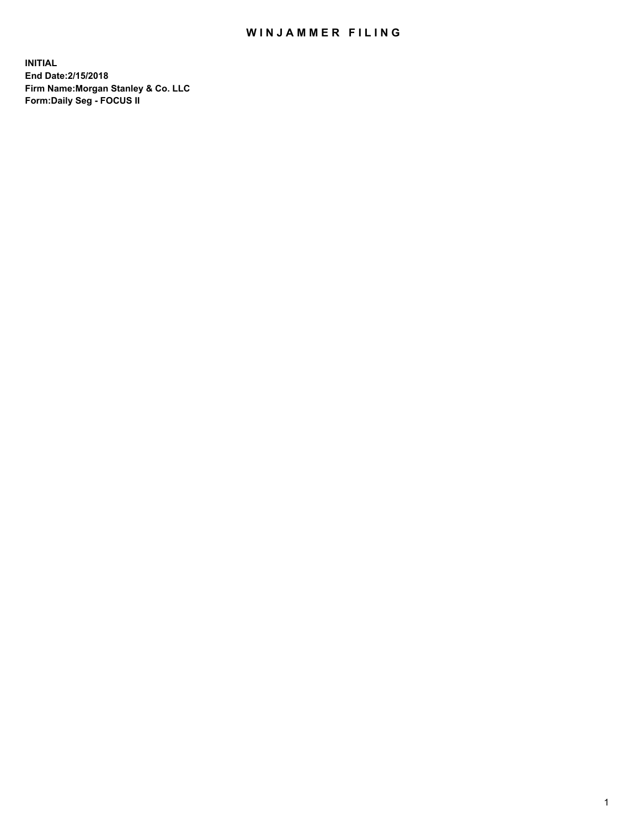### WIN JAMMER FILING

**INITIAL End Date:2/15/2018 Firm Name:Morgan Stanley & Co. LLC Form:Daily Seg - FOCUS II**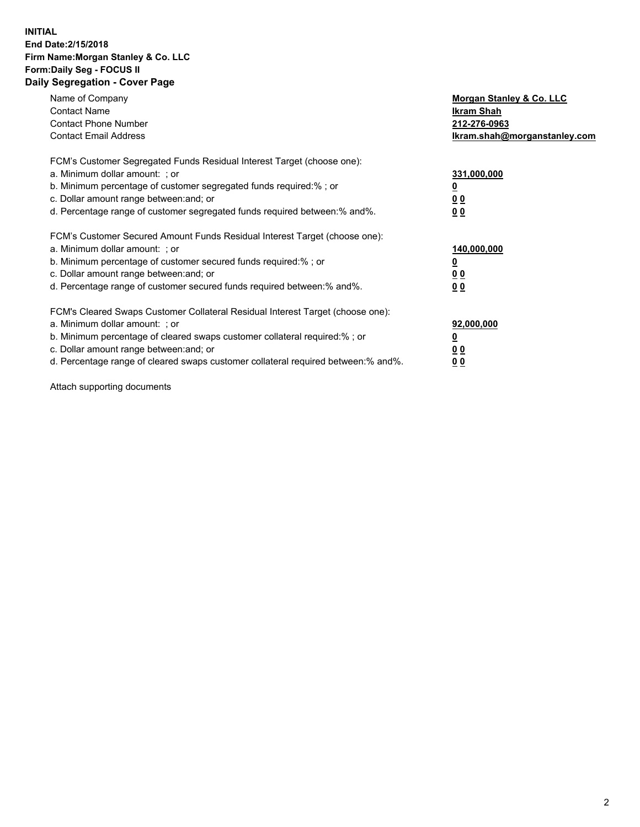#### **INITIAL End Date:2/15/2018 Firm Name:Morgan Stanley & Co. LLC Form:Daily Seg - FOCUS II Daily Segregation - Cover Page**

| Name of Company                                                                   | Morgan Stanley & Co. LLC     |
|-----------------------------------------------------------------------------------|------------------------------|
| <b>Contact Name</b>                                                               | Ikram Shah                   |
| <b>Contact Phone Number</b>                                                       | 212-276-0963                 |
| <b>Contact Email Address</b>                                                      | lkram.shah@morganstanley.com |
| FCM's Customer Segregated Funds Residual Interest Target (choose one):            |                              |
| a. Minimum dollar amount: ; or                                                    | 331,000,000                  |
| b. Minimum percentage of customer segregated funds required:%; or                 |                              |
| c. Dollar amount range between: and; or                                           | 00                           |
| d. Percentage range of customer segregated funds required between: % and %.       | 0 <sub>0</sub>               |
|                                                                                   |                              |
| FCM's Customer Secured Amount Funds Residual Interest Target (choose one):        |                              |
| a. Minimum dollar amount: ; or                                                    | 140,000,000                  |
| b. Minimum percentage of customer secured funds required:%; or                    |                              |
| c. Dollar amount range between: and; or                                           | 00                           |
| d. Percentage range of customer secured funds required between: % and %.          | 0 <sub>0</sub>               |
|                                                                                   |                              |
| FCM's Cleared Swaps Customer Collateral Residual Interest Target (choose one):    |                              |
| a. Minimum dollar amount: ; or                                                    | 92,000,000                   |
| b. Minimum percentage of cleared swaps customer collateral required:% ; or        | <u>0</u>                     |
| c. Dollar amount range between: and; or                                           | <u>00</u>                    |
| d. Percentage range of cleared swaps customer collateral required between:% and%. | 00                           |

Attach supporting documents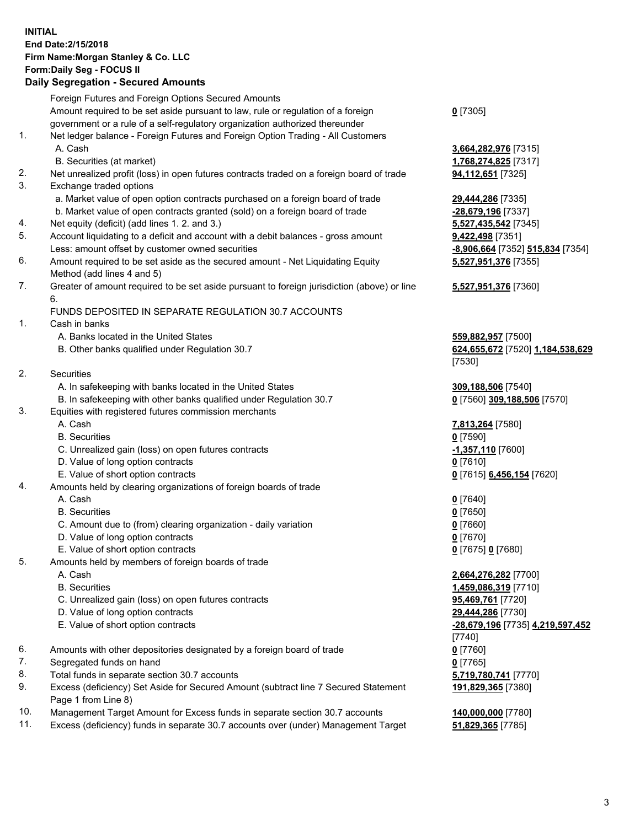### **INITIAL End Date:2/15/2018 Firm Name:Morgan Stanley & Co. LLC Form:Daily Seg - FOCUS II**

# **Daily Segregation - Secured Amounts**

|    | <b>Daily Ocglegation - Occurred Amounts</b>                                                 |                                  |
|----|---------------------------------------------------------------------------------------------|----------------------------------|
|    | Foreign Futures and Foreign Options Secured Amounts                                         |                                  |
|    | Amount required to be set aside pursuant to law, rule or regulation of a foreign            | $0$ [7305]                       |
|    | government or a rule of a self-regulatory organization authorized thereunder                |                                  |
| 1. | Net ledger balance - Foreign Futures and Foreign Option Trading - All Customers             |                                  |
|    | A. Cash                                                                                     | 3,664,282,976 [7315]             |
|    | B. Securities (at market)                                                                   | 1,768,274,825 [7317]             |
| 2. | Net unrealized profit (loss) in open futures contracts traded on a foreign board of trade   | <b>94,112,651</b> [7325]         |
| 3. | Exchange traded options                                                                     |                                  |
|    | a. Market value of open option contracts purchased on a foreign board of trade              | 29,444,286 [7335]                |
|    | b. Market value of open contracts granted (sold) on a foreign board of trade                | -28,679,196 [7337]               |
| 4. | Net equity (deficit) (add lines 1. 2. and 3.)                                               | 5,527,435,542 [7345]             |
| 5. | Account liquidating to a deficit and account with a debit balances - gross amount           | 9,422,498 [7351]                 |
|    | Less: amount offset by customer owned securities                                            | -8,906,664 [7352] 515,834 [7354] |
| 6. | Amount required to be set aside as the secured amount - Net Liquidating Equity              | 5,527,951,376 [7355]             |
|    | Method (add lines 4 and 5)                                                                  |                                  |
| 7. | Greater of amount required to be set aside pursuant to foreign jurisdiction (above) or line | 5,527,951,376 [7360]             |
|    | 6.                                                                                          |                                  |
|    | FUNDS DEPOSITED IN SEPARATE REGULATION 30.7 ACCOUNTS                                        |                                  |
| 1. | Cash in banks                                                                               |                                  |
|    | A. Banks located in the United States                                                       | 559,882,957 [7500]               |
|    | B. Other banks qualified under Regulation 30.7                                              | 624,655,672 [7520] 1,184,538,629 |
|    |                                                                                             | [7530]                           |
| 2. | Securities                                                                                  |                                  |
|    | A. In safekeeping with banks located in the United States                                   | 309,188,506 [7540]               |
|    | B. In safekeeping with other banks qualified under Regulation 30.7                          | 0 [7560] 309,188,506 [7570]      |
| 3. | Equities with registered futures commission merchants                                       |                                  |
|    | A. Cash                                                                                     | 7,813,264 [7580]                 |
|    | <b>B.</b> Securities                                                                        | $0$ [7590]                       |
|    | C. Unrealized gain (loss) on open futures contracts                                         | -1,357,110 [7600]                |
|    | D. Value of long option contracts                                                           | $0$ [7610]                       |
|    | E. Value of short option contracts                                                          | 0 [7615] 6,456,154 [7620]        |
| 4. | Amounts held by clearing organizations of foreign boards of trade                           |                                  |
|    | A. Cash                                                                                     | $0$ [7640]                       |
|    | <b>B.</b> Securities                                                                        | $0$ [7650]                       |
|    | C. Amount due to (from) clearing organization - daily variation                             | $0$ [7660]                       |
|    | D. Value of long option contracts                                                           | $0$ [7670]                       |
|    | E. Value of short option contracts                                                          | 0 [7675] 0 [7680]                |
| 5. | Amounts held by members of foreign boards of trade                                          |                                  |
|    | A. Cash                                                                                     | 2,664,276,282 [7700]             |
|    | <b>B.</b> Securities                                                                        | 1,459,086,319 [7710]             |
|    | C. Unrealized gain (loss) on open futures contracts                                         | 95,469,761 [7720]                |
|    | D. Value of long option contracts                                                           | 29,444,286 [7730]                |
|    | E. Value of short option contracts                                                          | -28,679,196 [7735] 4,219,597,452 |
|    |                                                                                             | [7740]                           |
| 6. | Amounts with other depositories designated by a foreign board of trade                      | $0$ [7760]                       |
| 7. | Segregated funds on hand                                                                    | $0$ [7765]                       |
| 8. | Total funds in separate section 30.7 accounts                                               | 5,719,780,741 [7770]             |
| 9. | Excess (deficiency) Set Aside for Secured Amount (subtract line 7 Secured Statement         | 191,829,365 [7380]               |
|    | Page 1 from Line 8)                                                                         |                                  |
|    |                                                                                             |                                  |

- 10. Management Target Amount for Excess funds in separate section 30.7 accounts **140,000,000** [7780]
- 11. Excess (deficiency) funds in separate 30.7 accounts over (under) Management Target **51,829,365** [7785]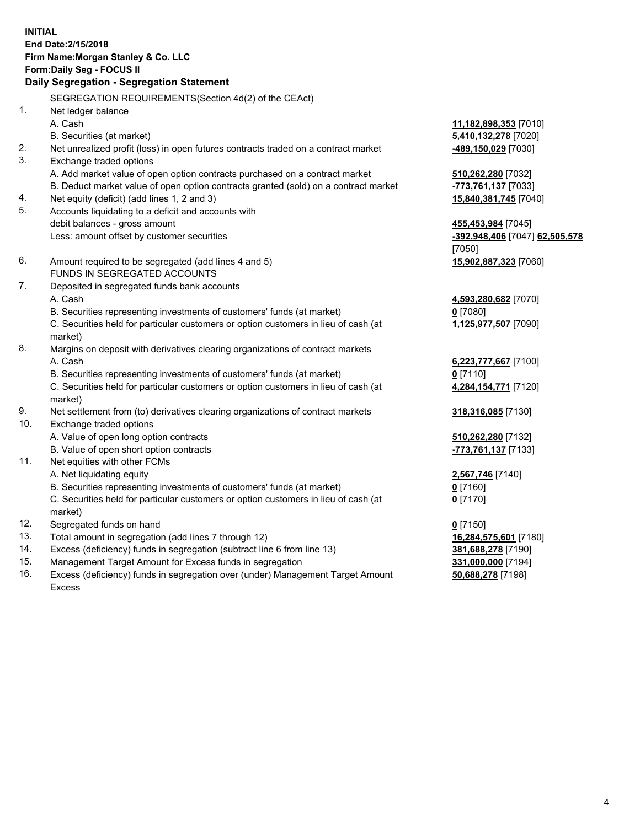### **INITIAL End Date:2/15/2018 Firm Name:Morgan Stanley & Co. LLC Form:Daily Seg - FOCUS II**

# **Daily Segregation - Segregation Statement**

SEGREGATION REQUIREMENTS(Section 4d(2) of the CEAct) 1. Net ledger balance A. Cash **11,182,898,353** [7010] B. Securities (at market) **5,410,132,278** [7020] 2. Net unrealized profit (loss) in open futures contracts traded on a contract market **-489,150,029** [7030] 3. Exchange traded options A. Add market value of open option contracts purchased on a contract market **510,262,280** [7032] B. Deduct market value of open option contracts granted (sold) on a contract market **-773,761,137** [7033] 4. Net equity (deficit) (add lines 1, 2 and 3) **15,840,381,745** [7040] 5. Accounts liquidating to a deficit and accounts with debit balances - gross amount **455,453,984** [7045] Less: amount offset by customer securities **-392,948,406** [7047] **62,505,578** [7050] 6. Amount required to be segregated (add lines 4 and 5) **15,902,887,323** [7060] FUNDS IN SEGREGATED ACCOUNTS 7. Deposited in segregated funds bank accounts A. Cash **4,593,280,682** [7070] B. Securities representing investments of customers' funds (at market) **0** [7080] C. Securities held for particular customers or option customers in lieu of cash (at market) 8. Margins on deposit with derivatives clearing organizations of contract markets A. Cash **6,223,777,667** [7100] B. Securities representing investments of customers' funds (at market) **0** [7110] C. Securities held for particular customers or option customers in lieu of cash (at market) 9. Net settlement from (to) derivatives clearing organizations of contract markets **318,316,085** [7130] 10. Exchange traded options A. Value of open long option contracts **510,262,280** [7132] B. Value of open short option contracts **-773,761,137** [7133] 11. Net equities with other FCMs A. Net liquidating equity **2,567,746** [7140] B. Securities representing investments of customers' funds (at market) **0** [7160] C. Securities held for particular customers or option customers in lieu of cash (at market) **0** [7170] 12. Segregated funds on hand **0** [7150] 13. Total amount in segregation (add lines 7 through 12) **16,284,575,601** [7180] 14. Excess (deficiency) funds in segregation (subtract line 6 from line 13) **381,688,278** [7190] 15. Management Target Amount for Excess funds in segregation **331,000,000** [7194]

16. Excess (deficiency) funds in segregation over (under) Management Target Amount Excess

**1,125,977,507** [7090]

**4,284,154,771** [7120]

**50,688,278** [7198]